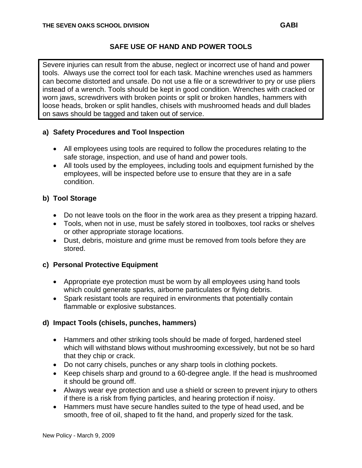#### **SAFE USE OF HAND AND POWER TOOLS**

Severe injuries can result from the abuse, neglect or incorrect use of hand and power tools. Always use the correct tool for each task. Machine wrenches used as hammers can become distorted and unsafe. Do not use a file or a screwdriver to pry or use pliers instead of a wrench. Tools should be kept in good condition. Wrenches with cracked or worn jaws, screwdrivers with broken points or split or broken handles, hammers with loose heads, broken or split handles, chisels with mushroomed heads and dull blades on saws should be tagged and taken out of service.

#### **a) Safety Procedures and Tool Inspection**

- All employees using tools are required to follow the procedures relating to the safe storage, inspection, and use of hand and power tools.
- All tools used by the employees, including tools and equipment furnished by the employees, will be inspected before use to ensure that they are in a safe condition.

# **b) Tool Storage**

- Do not leave tools on the floor in the work area as they present a tripping hazard.
- Tools, when not in use, must be safely stored in toolboxes, tool racks or shelves or other appropriate storage locations.
- Dust, debris, moisture and grime must be removed from tools before they are stored.

#### **c) Personal Protective Equipment**

- Appropriate eye protection must be worn by all employees using hand tools which could generate sparks, airborne particulates or flying debris.
- Spark resistant tools are required in environments that potentially contain flammable or explosive substances.

# **d) Impact Tools (chisels, punches, hammers)**

- Hammers and other striking tools should be made of forged, hardened steel which will withstand blows without mushrooming excessively, but not be so hard that they chip or crack.
- Do not carry chisels, punches or any sharp tools in clothing pockets.
- Keep chisels sharp and ground to a 60-degree angle. If the head is mushroomed it should be ground off.
- Always wear eye protection and use a shield or screen to prevent injury to others if there is a risk from flying particles, and hearing protection if noisy.
- Hammers must have secure handles suited to the type of head used, and be smooth, free of oil, shaped to fit the hand, and properly sized for the task.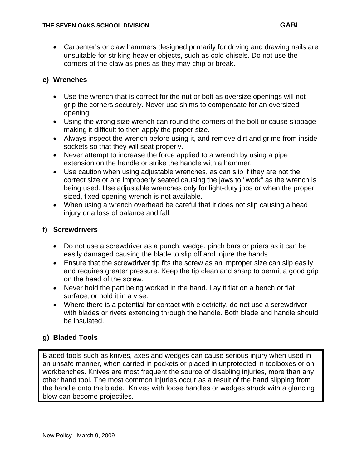• Carpenter's or claw hammers designed primarily for driving and drawing nails are unsuitable for striking heavier objects, such as cold chisels. Do not use the corners of the claw as pries as they may chip or break.

#### **e) Wrenches**

- Use the wrench that is correct for the nut or bolt as oversize openings will not grip the corners securely. Never use shims to compensate for an oversized opening.
- Using the wrong size wrench can round the corners of the bolt or cause slippage making it difficult to then apply the proper size.
- Always inspect the wrench before using it, and remove dirt and grime from inside sockets so that they will seat properly.
- Never attempt to increase the force applied to a wrench by using a pipe extension on the handle or strike the handle with a hammer.
- Use caution when using adjustable wrenches, as can slip if they are not the correct size or are improperly seated causing the jaws to "work" as the wrench is being used. Use adjustable wrenches only for light-duty jobs or when the proper sized, fixed-opening wrench is not available.
- When using a wrench overhead be careful that it does not slip causing a head injury or a loss of balance and fall.

#### **f) Screwdrivers**

- Do not use a screwdriver as a punch, wedge, pinch bars or priers as it can be easily damaged causing the blade to slip off and injure the hands.
- Ensure that the screwdriver tip fits the screw as an improper size can slip easily and requires greater pressure. Keep the tip clean and sharp to permit a good grip on the head of the screw.
- Never hold the part being worked in the hand. Lay it flat on a bench or flat surface, or hold it in a vise.
- Where there is a potential for contact with electricity, do not use a screwdriver with blades or rivets extending through the handle. Both blade and handle should be insulated.

# **g) Bladed Tools**

Bladed tools such as knives, axes and wedges can cause serious injury when used in an unsafe manner, when carried in pockets or placed in unprotected in toolboxes or on workbenches. Knives are most frequent the source of disabling injuries, more than any other hand tool. The most common injuries occur as a result of the hand slipping from the handle onto the blade. Knives with loose handles or wedges struck with a glancing blow can become projectiles.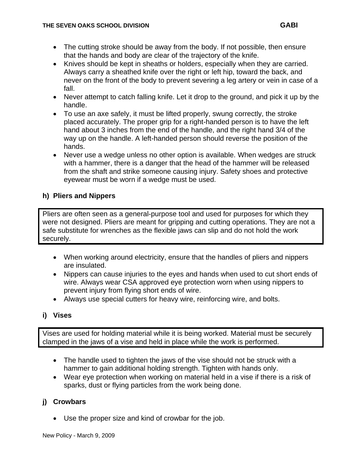- The cutting stroke should be away from the body. If not possible, then ensure that the hands and body are clear of the trajectory of the knife.
- Knives should be kept in sheaths or holders, especially when they are carried. Always carry a sheathed knife over the right or left hip, toward the back, and never on the front of the body to prevent severing a leg artery or vein in case of a fall.
- Never attempt to catch falling knife. Let it drop to the ground, and pick it up by the handle.
- To use an axe safely, it must be lifted properly, swung correctly, the stroke placed accurately. The proper grip for a right-handed person is to have the left hand about 3 inches from the end of the handle, and the right hand 3/4 of the way up on the handle. A left-handed person should reverse the position of the hands.
- Never use a wedge unless no other option is available. When wedges are struck with a hammer, there is a danger that the head of the hammer will be released from the shaft and strike someone causing injury. Safety shoes and protective eyewear must be worn if a wedge must be used.

# **h) Pliers and Nippers**

Pliers are often seen as a general-purpose tool and used for purposes for which they were not designed. Pliers are meant for gripping and cutting operations. They are not a safe substitute for wrenches as the flexible jaws can slip and do not hold the work securely.

- When working around electricity, ensure that the handles of pliers and nippers are insulated.
- Nippers can cause injuries to the eyes and hands when used to cut short ends of wire. Always wear CSA approved eye protection worn when using nippers to prevent injury from flying short ends of wire.
- Always use special cutters for heavy wire, reinforcing wire, and bolts.

# **i) Vises**

Vises are used for holding material while it is being worked. Material must be securely clamped in the jaws of a vise and held in place while the work is performed.

- The handle used to tighten the jaws of the vise should not be struck with a hammer to gain additional holding strength. Tighten with hands only.
- Wear eye protection when working on material held in a vise if there is a risk of sparks, dust or flying particles from the work being done.

# **j) Crowbars**

• Use the proper size and kind of crowbar for the job.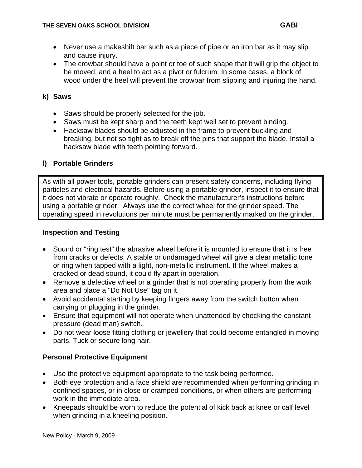- Never use a makeshift bar such as a piece of pipe or an iron bar as it may slip and cause injury.
- The crowbar should have a point or toe of such shape that it will grip the object to be moved, and a heel to act as a pivot or fulcrum. In some cases, a block of wood under the heel will prevent the crowbar from slipping and injuring the hand.

#### **k) Saws**

- Saws should be properly selected for the job.
- Saws must be kept sharp and the teeth kept well set to prevent binding.
- Hacksaw blades should be adjusted in the frame to prevent buckling and breaking, but not so tight as to break off the pins that support the blade. Install a hacksaw blade with teeth pointing forward.

#### **l) Portable Grinders**

As with all power tools, portable grinders can present safety concerns, including flying particles and electrical hazards. Before using a portable grinder, inspect it to ensure that it does not vibrate or operate roughly. Check the manufacturer's instructions before using a portable grinder. Always use the correct wheel for the grinder speed. The operating speed in revolutions per minute must be permanently marked on the grinder.

#### **Inspection and Testing**

- Sound or "ring test" the abrasive wheel before it is mounted to ensure that it is free from cracks or defects. A stable or undamaged wheel will give a clear metallic tone or ring when tapped with a light, non-metallic instrument. If the wheel makes a cracked or dead sound, it could fly apart in operation.
- Remove a defective wheel or a grinder that is not operating properly from the work area and place a "Do Not Use" tag on it.
- Avoid accidental starting by keeping fingers away from the switch button when carrying or plugging in the grinder.
- Ensure that equipment will not operate when unattended by checking the constant pressure (dead man) switch.
- Do not wear loose fitting clothing or jewellery that could become entangled in moving parts. Tuck or secure long hair.

# **Personal Protective Equipment**

- Use the protective equipment appropriate to the task being performed.
- Both eye protection and a face shield are recommended when performing grinding in confined spaces, or in close or cramped conditions, or when others are performing work in the immediate area.
- Kneepads should be worn to reduce the potential of kick back at knee or calf level when grinding in a kneeling position.